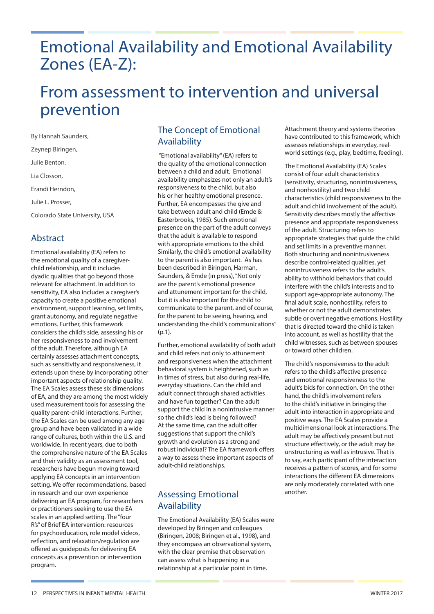# Emotional Availability and Emotional Availability Zones (EA-Z):

# From assessment to intervention and universal prevention

By Hannah Saunders, Zeynep Biringen, Julie Benton, Lia Closson, Erandi Herndon, Julie L. Prosser, Colorado State University, USA

## Abstract

Emotional availability (EA) refers to the emotional quality of a caregiverchild relationship, and it includes dyadic qualities that go beyond those relevant for attachment. In addition to sensitivity, EA also includes a caregiver's capacity to create a positive emotional environment, support learning, set limits, grant autonomy, and regulate negative emotions. Further, this framework considers the child's side, assessing his or her responsiveness to and involvement of the adult. Therefore, although EA certainly assesses attachment concepts, such as sensitivity and responsiveness, it extends upon these by incorporating other important aspects of relationship quality. The EA Scales assess these six dimensions of EA, and they are among the most widely used measurement tools for assessing the quality parent-child interactions. Further, the EA Scales can be used among any age group and have been validated in a wide range of cultures, both within the U.S. and worldwide. In recent years, due to both the comprehensive nature of the EA Scales and their validity as an assessment tool, researchers have begun moving toward applying EA concepts in an intervention setting. We offer recommendations, based in research and our own experience delivering an EA program, for researchers or practitioners seeking to use the EA scales in an applied setting. The "four R's" of Brief EA intervention: resources for psychoeducation, role model videos, reflection, and relaxation/regulation are offered as guideposts for delivering EA concepts as a prevention or intervention program.

## The Concept of Emotional Availability

 "Emotional availability" (EA) refers to the quality of the emotional connection between a child and adult. Emotional availability emphasizes not only an adult's responsiveness to the child, but also his or her healthy emotional presence. Further, EA encompasses the give and take between adult and child (Emde & Easterbrooks, 1985). Such emotional presence on the part of the adult conveys that the adult is available to respond with appropriate emotions to the child. Similarly, the child's emotional availability to the parent is also important. As has been described in Biringen, Harman, Saunders, & Emde (in press), "Not only are the parent's emotional presence and attunement important for the child, but it is also important for the child to communicate to the parent, and of course, for the parent to be seeing, hearing, and understanding the child's communications"  $(p.1)$ .

Further, emotional availability of both adult and child refers not only to attunement and responsiveness when the attachment behavioral system is heightened, such as in times of stress, but also during real-life, everyday situations. Can the child and adult connect through shared activities and have fun together? Can the adult support the child in a nonintrusive manner so the child's lead is being followed? At the same time, can the adult offer suggestions that support the child's growth and evolution as a strong and robust individual? The EA framework offers a way to assess these important aspects of adult-child relationships.

# Assessing Emotional Availability

The Emotional Availability (EA) Scales were developed by Biringen and colleagues (Biringen, 2008; Biringen et al., 1998), and they encompass an observational system, with the clear premise that observation can assess what is happening in a relationship at a particular point in time.

Attachment theory and systems theories have contributed to this framework, which assesses relationships in everyday, realworld settings (e.g., play, bedtime, feeding).

The Emotional Availability (EA) Scales consist of four adult characteristics (sensitivity, structuring, nonintrusiveness, and nonhostility) and two child characteristics (child responsiveness to the adult and child involvement of the adult). Sensitivity describes mostly the affective presence and appropriate responsiveness of the adult. Structuring refers to appropriate strategies that guide the child and set limits in a preventive manner. Both structuring and nonintrusiveness describe control-related qualities, yet nonintrusiveness refers to the adult's ability to withhold behaviors that could interfere with the child's interests and to support age-appropriate autonomy. The final adult scale, nonhostility, refers to whether or not the adult demonstrates subtle or overt negative emotions. Hostility that is directed toward the child is taken into account, as well as hostility that the child witnesses, such as between spouses or toward other children.

The child's responsiveness to the adult refers to the child's affective presence and emotional responsiveness to the adult's bids for connection. On the other hand, the child's involvement refers to the child's initiative in bringing the adult into interaction in appropriate and positive ways. The EA Scales provide a multidimensional look at interactions. The adult may be affectively present but not structure effectively, or the adult may be unstructuring as well as intrusive. That is to say, each participant of the interaction receives a pattern of scores, and for some interactions the different EA dimensions are only moderately correlated with one another.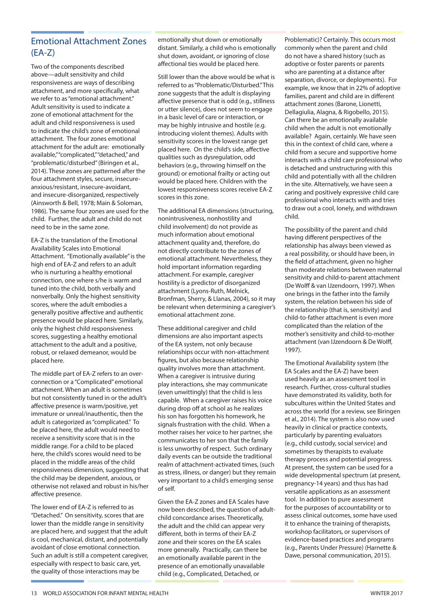## Emotional Attachment Zones (EA-Z)

Two of the components described above—adult sensitivity and child responsiveness are ways of describing attachment, and more specifically, what we refer to as "emotional attachment." Adult sensitivity is used to indicate a zone of emotional attachment for the adult and child responsiveness is used to indicate the child's zone of emotional attachment. The four zones emotional attachment for the adult are: emotionally available," "complicated," "detached," and "problematic/disturbed" (Biringen et al., 2014). These zones are patterned after the four attachment styles, secure, insecureanxious/resistant, insecure-avoidant, and insecure-disorganized, respectively (Ainsworth & Bell, 1978; Main & Soloman, 1986). The same four zones are used for the child. Further, the adult and child do not need to be in the same zone.

EA-Z is the translation of the Emotional Availability Scales into Emotional Attachment. "Emotionally available" is the high end of EA-Z and refers to an adult who is nurturing a healthy emotional connection, one where s/he is warm and tuned into the child, both verbally and nonverbally. Only the highest sensitivity scores, where the adult embodies a generally positive affective and authentic presence would be placed here. Similarly, only the highest child responsiveness scores, suggesting a healthy emotional attachment to the adult and a positive, robust, or relaxed demeanor, would be placed here.

The middle part of EA-Z refers to an overconnection or a "Complicated" emotional attachment. When an adult is sometimes but not consistently tuned in or the adult's affective presence is warm/positive, yet immature or unreal/inauthentic, then the adult is categorized as "complicated." To be placed here, the adult would need to receive a sensitivity score that is in the middle range. For a child to be placed here, the child's scores would need to be placed in the middle areas of the child responsiveness dimension, suggesting that the child may be dependent, anxious, or otherwise not relaxed and robust in his/her affective presence.

The lower end of EA-Z is referred to as "Detached." On sensitivity, scores that are lower than the middle range in sensitivity are placed here, and suggest that the adult is cool, mechanical, distant, and potentially avoidant of close emotional connection. Such an adult is still a competent caregiver, especially with respect to basic care, yet, the quality of those interactions may be

emotionally shut down or emotionally distant. Similarly, a child who is emotionally shut down, avoidant, or ignoring of close affectional ties would be placed here.

Still lower than the above would be what is referred to as "Problematic/Disturbed." This zone suggests that the adult is displaying affective presence that is odd (e.g., stillness or utter silence), does not seem to engage in a basic level of care or interaction, or may be highly intrusive and hostile (e.g. introducing violent themes). Adults with sensitivity scores in the lowest range get placed here. On the child's side, affective qualities such as dysregulation, odd behaviors (e.g., throwing himself on the ground) or emotional frailty or acting out would be placed here. Children with the lowest responsiveness scores receive EA-Z scores in this zone.

The additional EA dimensions (structuring, nonintrusiveness, nonhostility and child involvement) do not provide as much information about emotional attachment quality and, therefore, do not directly contribute to the zones of emotional attachment. Nevertheless, they hold important information regarding attachment. For example, caregiver hostility is a predictor of disorganized attachment (Lyons-Ruth, Melnick, Bronfman, Sherry, & Llanas, 2004), so it may be relevant when determining a caregiver's emotional attachment zone.

These additional caregiver and child dimensions are also important aspects of the EA system, not only because relationships occur with non-attachment figures, but also because relationship quality involves more than attachment. When a caregiver is intrusive during play interactions, she may communicate (even unwittingly) that the child is less capable. When a caregiver raises his voice during drop off at school as he realizes his son has forgotten his homework, he signals frustration with the child. When a mother raises her voice to her partner, she communicates to her son that the family is less unworthy of respect. Such ordinary daily events can be outside the traditional realm of attachment-activated times, (such as stress, illness, or danger) but they remain very important to a child's emerging sense of self.

Given the EA-Z zones and EA Scales have now been described, the question of adultchild concordance arises. Theoretically, the adult and the child can appear very different, both in terms of their EA-Z zone and their scores on the EA scales more generally. Practically, can there be an emotionally available parent in the presence of an emotionally unavailable child (e.g., Complicated, Detached, or

Problematic)? Certainly. This occurs most commonly when the parent and child do not have a shared history (such as adoptive or foster parents or parents who are parenting at a distance after separation, divorce, or deployments). For example, we know that in 22% of adoptive families, parent and child are in different attachment zones (Barone, Lionetti, Dellagiulia, Alagna, & Rigobello, 2015). Can there be an emotionally available child when the adult is not emotionally available? Again, certainly. We have seen this in the context of child care, where a child from a secure and supportive home interacts with a child care professional who is detached and unstructuring with this child and potentially with all the children in the site. Alternatively, we have seen a caring and positively expressive child care professional who interacts with and tries to draw out a cool, lonely, and withdrawn child.

The possibility of the parent and child having different perspectives of the relationship has always been viewed as a real possibility, or should have been, in the field of attachment, given no higher than moderate relations between maternal sensitivity and child-to-parent attachment (De Wolff & van IJzendoorn, 1997). When one brings in the father into the family system, the relation between his side of the relationship (that is, sensitivity) and child-to-father attachment is even more complicated than the relation of the mother's sensitivity and child-to-mother attachment (van IJzendoorn & De Wolff, 1997).

The Emotional Availability system (the EA Scales and the EA-Z) have been used heavily as an assessment tool in research. Further, cross-cultural studies have demonstrated its validity, both for subcultures within the United States and across the world (for a review, see Biringen et al., 2014). The system is also now used heavily in clinical or practice contexts, particularly by parenting evaluators (e.g., child custody, social service) and sometimes by therapists to evaluate therapy process and potential progress. At present, the system can be used for a wide developmental spectrum (at present, pregnancy-14 years) and thus has had versatile applications as an assessment tool. In addition to pure assessment for the purposes of accountability or to assess clinical outcomes, some have used it to enhance the training of therapists, workshop facilitators, or supervisors of evidence-based practices and programs (e.g., Parents Under Pressure) (Harnette & Dawe, personal communication, 2015).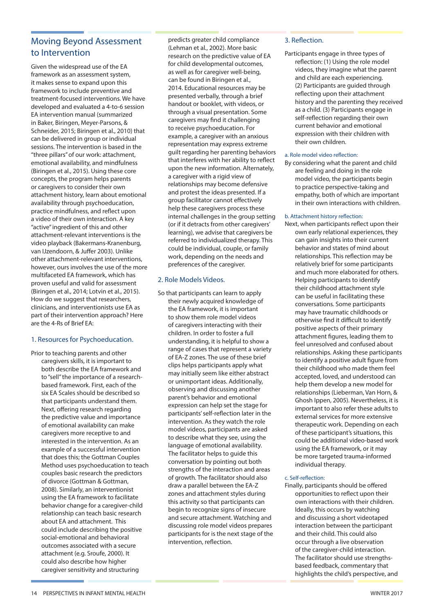## Moving Beyond Assessment to Intervention

Given the widespread use of the EA framework as an assessment system, it makes sense to expand upon this framework to include preventive and treatment-focused interventions. We have developed and evaluated a 4-to-6 session EA intervention manual (summarized in Baker, Biringen, Meyer-Parsons, & Schneider, 2015; Biringen et al., 2010) that can be delivered in group or individual sessions. The intervention is based in the "three pillars" of our work: attachment, emotional availability, and mindfulness (Biringen et al., 2015). Using these core concepts, the program helps parents or caregivers to consider their own attachment history, learn about emotional availability through psychoeducation, practice mindfulness, and reflect upon a video of their own interaction. A key "active" ingredient of this and other attachment-relevant interventions is the video playback (Bakermans-Kranenburg, van IJzendoorn, & Juffer 2003). Unlike other attachment-relevant interventions, however, ours involves the use of the more multifaceted EA framework, which has proven useful and valid for assessment (Biringen et al., 2014; Lotvin et al., 2015). How do we suggest that researchers, clinicians, and interventionists use EA as part of their intervention approach? Here are the 4-Rs of Brief EA:

## 1. Resources for Psychoeducation.

Prior to teaching parents and other caregivers skills, it is important to both describe the EA framework and to "sell" the importance of a researchbased framework. First, each of the six EA Scales should be described so that participants understand them. Next, offering research regarding the predictive value and importance of emotional availability can make caregivers more receptive to and interested in the intervention. As an example of a successful intervention that does this; the Gottman Couples Method uses psychoeducation to teach couples basic research the predictors of divorce (Gottman & Gottman, 2008). Similarly, an interventionist using the EA framework to facilitate behavior change for a caregiver-child relationship can teach basic research about EA and attachment. This could include describing the positive social-emotional and behavioral outcomes associated with a secure attachment (e.g. Sroufe, 2000). It could also describe how higher caregiver sensitivity and structuring

predicts greater child compliance (Lehman et al., 2002). More basic research on the predictive value of EA for child developmental outcomes, as well as for caregiver well-being, can be found in Biringen et al., 2014. Educational resources may be presented verbally, through a brief handout or booklet, with videos, or through a visual presentation. Some caregivers may find it challenging to receive psychoeducation. For example, a caregiver with an anxious representation may express extreme guilt regarding her parenting behaviors that interferes with her ability to reflect upon the new information. Alternately, a caregiver with a rigid view of relationships may become defensive and protest the ideas presented. If a group facilitator cannot effectively help these caregivers process these internal challenges in the group setting (or if it detracts from other caregivers' learning), we advise that caregivers be referred to individualized therapy. This could be individual, couple, or family work, depending on the needs and preferences of the caregiver.

### 2. Role Models Videos.

So that participants can learn to apply their newly acquired knowledge of the EA framework, it is important to show them role model videos of caregivers interacting with their children. In order to foster a full understanding, it is helpful to show a range of cases that represent a variety of EA-Z zones. The use of these brief clips helps participants apply what may initially seem like either abstract or unimportant ideas. Additionally, observing and discussing another parent's behavior and emotional expression can help set the stage for participants' self-reflection later in the intervention. As they watch the role model videos, participants are asked to describe what they see, using the language of emotional availability. The facilitator helps to guide this conversation by pointing out both strengths of the interaction and areas of growth. The facilitator should also draw a parallel between the EA-Z zones and attachment styles during this activity so that participants can begin to recognize signs of insecure and secure attachment. Watching and discussing role model videos prepares participants for is the next stage of the intervention, reflection.

### 3. Reflection.

Participants engage in three types of reflection: (1) Using the role model videos, they imagine what the parent and child are each experiencing. (2) Participants are guided through reflecting upon their attachment history and the parenting they received as a child. (3) Participants engage in self-reflection regarding their own current behavior and emotional expression with their children with their own children.

#### a. Role model video reflection:

By considering what the parent and child are feeling and doing in the role model video, the participants begin to practice perspective-taking and empathy, both of which are important in their own interactions with children.

#### b. Attachment history reflection:

Next, when participants reflect upon their own early relational experiences, they can gain insights into their current behavior and states of mind about relationships. This reflection may be relatively brief for some participants and much more elaborated for others. Helping participants to identify their childhood attachment style can be useful in facilitating these conversations. Some participants may have traumatic childhoods or otherwise find it difficult to identify positive aspects of their primary attachment figures, leading them to feel unresolved and confused about relationships. Asking these participants to identify a positive adult figure from their childhood who made them feel accepted, loved, and understood can help them develop a new model for relationships (Lieberman, Van Horn, & Ghosh Ippen, 2005). Nevertheless, it is important to also refer these adults to external services for more extensive therapeutic work. Depending on each of these participant's situations, this could be additional video-based work using the EA framework, or it may be more targeted trauma-informed individual therapy.

### c. Self-reflection:

Finally, participants should be offered opportunities to reflect upon their own interactions with their children. Ideally, this occurs by watching and discussing a short videotaped interaction between the participant and their child. This could also occur through a live observation of the caregiver-child interaction. The facilitator should use strengthsbased feedback, commentary that highlights the child's perspective, and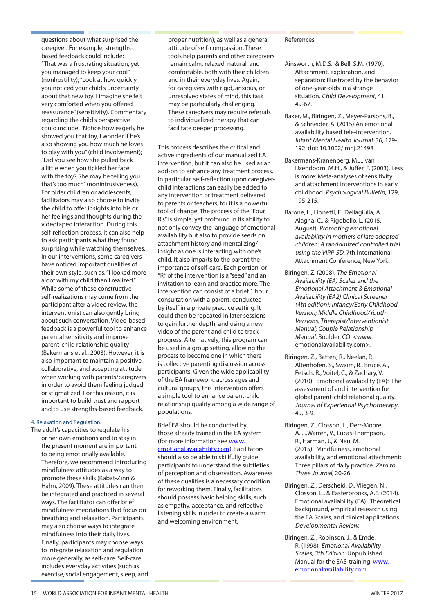questions about what surprised the caregiver. For example, strengthsbased feedback could include: "That was a frustrating situation, yet you managed to keep your cool" (nonhostility); "Look at how quickly you noticed your child's uncertainty about that new toy. I imagine she felt very comforted when you offered reassurance" (sensitivity). Commentary regarding the child's perspective could include: "Notice how eagerly he showed you that toy, I wonder if he's also showing you how much he loves to play with you" (child involvement); "Did you see how she pulled back a little when you tickled her face with the toy? She may be telling you that's too much" (nonintrusiveness). For older children or adolescents, facilitators may also choose to invite the child to offer insights into his or her feelings and thoughts during the videotaped interaction. During this self-reflection process, it can also help to ask participants what they found surprising while watching themselves. In our interventions, some caregivers have noticed important qualities of their own style, such as, "I looked more aloof with my child than I realized." While some of these constructive self-realizations may come from the participant after a video review, the interventionist can also gently bring about such conversation. Video-based feedback is a powerful tool to enhance parental sensitivity and improve parent-child relationship quality (Bakermans et al., 2003). However, it is also important to maintain a positive, collaborative, and accepting attitude when working with parents/caregivers in order to avoid them feeling judged or stigmatized. For this reason, it is important to build trust and rapport and to use strengths-based feedback.

#### 4. Relaxation and Regulation.

The adult's capacities to regulate his or her own emotions and to stay in the present moment are important to being emotionally available. Therefore, we recommend introducing mindfulness attitudes as a way to promote these skills (Kabat-Zinn & Hahn, 2009). These attitudes can then be integrated and practiced in several ways. The facilitator can offer brief mindfulness meditations that focus on breathing and relaxation. Participants may also choose ways to integrate mindfulness into their daily lives. Finally, participants may choose ways to integrate relaxation and regulation more generally, as self-care. Self-care includes everyday activities (such as exercise, social engagement, sleep, and proper nutrition), as well as a general attitude of self-compassion. These tools help parents and other caregivers remain calm, relaxed, natural, and comfortable, both with their children and in their everyday lives. Again, for caregivers with rigid, anxious, or unresolved states of mind, this task may be particularly challenging. These caregivers may require referrals to individualized therapy that can facilitate deeper processing.

This process describes the critical and active ingredients of our manualized EA intervention, but it can also be used as an add-on to enhance any treatment process. In particular, self-reflection upon caregiverchild interactions can easily be added to any intervention or treatment delivered to parents or teachers, for it is a powerful tool of change. The process of the "Four R's" is simple, yet profound in its ability to not only convey the language of emotional availability but also to provide seeds on attachment history and mentalizing/ insight as one is interacting with one's child. It also imparts to the parent the importance of self-care. Each portion, or "R," of the intervention is a "seed" and an invitation to learn and practice more. The intervention can consist of a brief 1 hour consultation with a parent, conducted by itself in a private practice setting. It could then be repeated in later sessions to gain further depth, and using a new video of the parent and child to track progress. Alternatively, this program can be used in a group setting, allowing the process to become one in which there is collective parenting discussion across participants. Given the wide applicability of the EA framework, across ages and cultural groups, this intervention offers a simple tool to enhance parent-child relationship quality among a wide range of populations.

Brief EA should be conducted by those already trained in the EA system (for more information see www. emotionalavailability.com). Facilitators should also be able to skillfully guide participants to understand the subtleties of perception and observation. Awareness of these qualities is a necessary condition for reworking them. Finally, facilitators should possess basic helping skills, such as empathy, acceptance, and reflective listening skills in order to create a warm and welcoming environment.

#### References

- Ainsworth, M.D.S., & Bell, S.M. (1970). Attachment, exploration, and separation: Illustrated by the behavior of one-year-olds in a strange situation. Child Development, 41, 49-67.
- Baker, M., Biringen, Z., Meyer-Parsons, B., & Schneider, A. (2015) An emotional availability based tele-intervention. Infant Mental Health Journal, 36, 179- 192. doi: 10.1002/imhj.21498
- Bakermans-Kranenberg, M.J., van IJzendoorn, M.H., & Juffer, F. (2003). Less is more: Meta-analyses of sensitivity and attachment interventions in early childhood. Psychological Bulletin, 129, 195-215.
- Barone, L., Lionetti, F., Dellagiulia, A., Alagna, C., & Rigobello, L. (2015, August). Promoting emotional availability in mothers of late adopted children: A randomized controlled trial using the VIPP-SD. 7th International Attachment Conference, New York.
- Biringen, Z. (2008). The Emotional Availability (EA) Scales and the Emotional Attachment & Emotional Availability (EA2) Clinical Screener (4th edition): Infancy/Early Childhood Version; Middle Childhood/Youth Versions; Therapist/Interventionist Manual; Couple Relationship Manual. Boulder, CO: <www. emotionalavailability.com>.
- Biringen, Z., Batten, R., Neelan, P., Altenhofen, S., Swaim, R., Bruce, A., Fetsch, R., Voitel, C., & Zachary, V. (2010). Emotional availability (EA): The assessment of and intervention for global parent-child relational quality. Journal of Experiential Psychotherapy, 49, 3-9.
- Biringen, Z., Closson, L., Derr-Moore, A......Warren, V., Lucas-Thompson, R., Harman, J., & Neu, M. (2015). Mindfulness, emotional availability, and emotional attachment: Three pillars of daily practice, Zero to Three Journal, 20-26.
- Biringen, Z., Derscheid, D., Vliegen, N., Closson, L., & Easterbrooks, A.E. (2014). Emotional availability (EA): Theoretical background, empirical research using the EA Scales, and clinical applications. Developmental Review.
- Biringen, Z., Robinson, J., & Emde, R. (1998). Emotional Availability Scales, 3th Edition. Unpublished Manual for the EAS-training. www. emotionalavailability.com